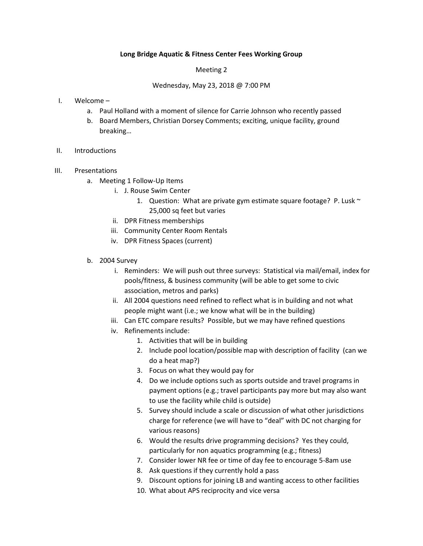## **Long Bridge Aquatic & Fitness Center Fees Working Group**

## Meeting 2

## Wednesday, May 23, 2018 @ 7:00 PM

- I. Welcome
	- a. Paul Holland with a moment of silence for Carrie Johnson who recently passed
	- b. Board Members, Christian Dorsey Comments; exciting, unique facility, ground breaking…
- II. Introductions
- III. Presentations
	- a. Meeting 1 Follow-Up Items
		- i. J. Rouse Swim Center
			- 1. Question: What are private gym estimate square footage? P. Lusk  $\sim$ 25,000 sq feet but varies
		- ii. DPR Fitness memberships
		- iii. Community Center Room Rentals
		- iv. DPR Fitness Spaces (current)
	- b. 2004 Survey
		- i. Reminders: We will push out three surveys: Statistical via mail/email, index for pools/fitness, & business community (will be able to get some to civic association, metros and parks)
		- ii. All 2004 questions need refined to reflect what is in building and not what people might want (i.e.; we know what will be in the building)
		- iii. Can ETC compare results? Possible, but we may have refined questions
		- iv. Refinements include:
			- 1. Activities that will be in building
			- 2. Include pool location/possible map with description of facility (can we do a heat map?)
			- 3. Focus on what they would pay for
			- 4. Do we include options such as sports outside and travel programs in payment options (e.g.; travel participants pay more but may also want to use the facility while child is outside)
			- 5. Survey should include a scale or discussion of what other jurisdictions charge for reference (we will have to "deal" with DC not charging for various reasons)
			- 6. Would the results drive programming decisions? Yes they could, particularly for non aquatics programming (e.g.; fitness)
			- 7. Consider lower NR fee or time of day fee to encourage 5-8am use
			- 8. Ask questions if they currently hold a pass
			- 9. Discount options for joining LB and wanting access to other facilities
			- 10. What about APS reciprocity and vice versa